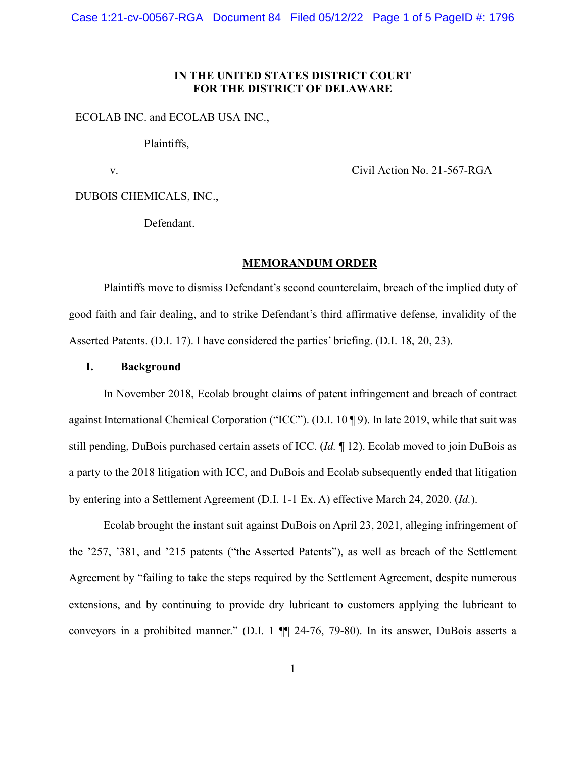Case 1:21-cv-00567-RGA Document 84 Filed 05/12/22 Page 1 of 5 PageID #: 1796

# **IN THE UNITED STATES DISTRICT COURT FOR THE DISTRICT OF DELAWARE**

ECOLAB INC. and ECOLAB USA INC.,

Plaintiffs,

v.

Civil Action No. 21-567-RGA

DUBOIS CHEMICALS, INC.,

Defendant.

# **MEMORANDUM ORDER**

Plaintiffs move to dismiss Defendant's second counterclaim, breach of the implied duty of good faith and fair dealing, and to strike Defendant's third affirmative defense, invalidity of the Asserted Patents. (D.I. 17). I have considered the parties' briefing. (D.I. 18, 20, 23).

# **I. Background**

In November 2018, Ecolab brought claims of patent infringement and breach of contract against International Chemical Corporation ("ICC"). (D.I. 10 ¶ 9). In late 2019, while that suit was still pending, DuBois purchased certain assets of ICC. (*Id.* ¶ 12). Ecolab moved to join DuBois as a party to the 2018 litigation with ICC, and DuBois and Ecolab subsequently ended that litigation by entering into a Settlement Agreement (D.I. 1-1 Ex. A) effective March 24, 2020. (*Id.*).

Ecolab brought the instant suit against DuBois on April 23, 2021, alleging infringement of the '257, '381, and '215 patents ("the Asserted Patents"), as well as breach of the Settlement Agreement by "failing to take the steps required by the Settlement Agreement, despite numerous extensions, and by continuing to provide dry lubricant to customers applying the lubricant to conveyors in a prohibited manner." (D.I. 1 ¶¶ 24-76, 79-80). In its answer, DuBois asserts a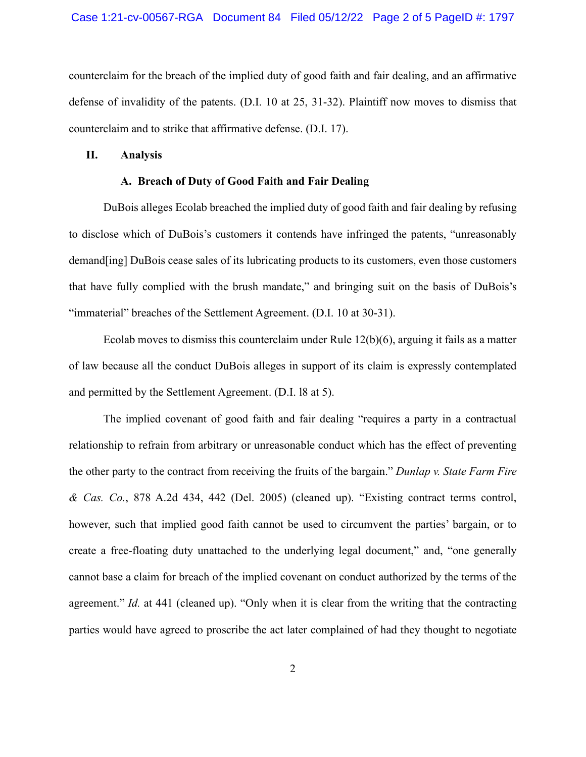counterclaim for the breach of the implied duty of good faith and fair dealing, and an affirmative defense of invalidity of the patents. (D.I. 10 at 25, 31-32). Plaintiff now moves to dismiss that counterclaim and to strike that affirmative defense. (D.I. 17).

### **II. Analysis**

### **A. Breach of Duty of Good Faith and Fair Dealing**

DuBois alleges Ecolab breached the implied duty of good faith and fair dealing by refusing to disclose which of DuBois's customers it contends have infringed the patents, "unreasonably demand[ing] DuBois cease sales of its lubricating products to its customers, even those customers that have fully complied with the brush mandate," and bringing suit on the basis of DuBois's "immaterial" breaches of the Settlement Agreement. (D.I. 10 at 30-31).

Ecolab moves to dismiss this counterclaim under Rule  $12(b)(6)$ , arguing it fails as a matter of law because all the conduct DuBois alleges in support of its claim is expressly contemplated and permitted by the Settlement Agreement. (D.I. l8 at 5).

The implied covenant of good faith and fair dealing "requires a party in a contractual relationship to refrain from arbitrary or unreasonable conduct which has the effect of preventing the other party to the contract from receiving the fruits of the bargain." *Dunlap v. State Farm Fire & Cas. Co.*, 878 A.2d 434, 442 (Del. 2005) (cleaned up). "Existing contract terms control, however, such that implied good faith cannot be used to circumvent the parties' bargain, or to create a free-floating duty unattached to the underlying legal document," and, "one generally cannot base a claim for breach of the implied covenant on conduct authorized by the terms of the agreement." *Id.* at 441 (cleaned up). "Only when it is clear from the writing that the contracting parties would have agreed to proscribe the act later complained of had they thought to negotiate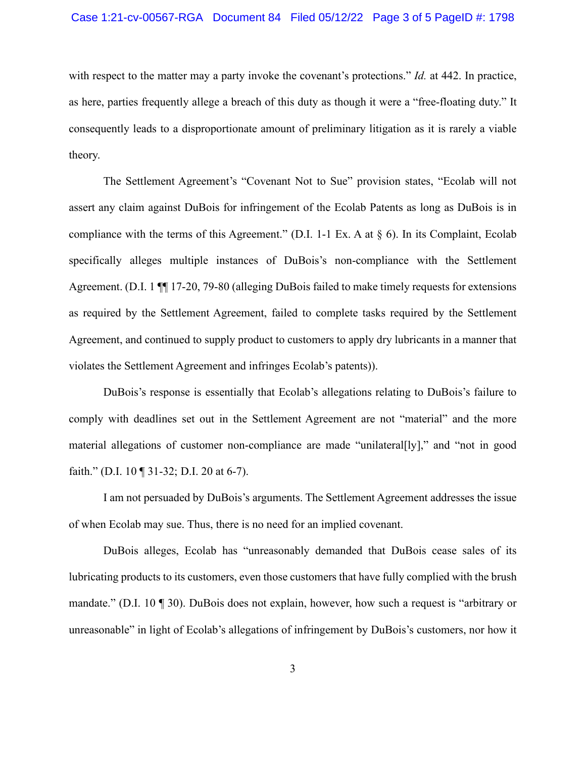### Case 1:21-cv-00567-RGA Document 84 Filed 05/12/22 Page 3 of 5 PageID #: 1798

with respect to the matter may a party invoke the covenant's protections." *Id.* at 442. In practice, as here, parties frequently allege a breach of this duty as though it were a "free-floating duty." It consequently leads to a disproportionate amount of preliminary litigation as it is rarely a viable theory.

The Settlement Agreement's "Covenant Not to Sue" provision states, "Ecolab will not assert any claim against DuBois for infringement of the Ecolab Patents as long as DuBois is in compliance with the terms of this Agreement." (D.I. 1-1 Ex. A at § 6). In its Complaint, Ecolab specifically alleges multiple instances of DuBois's non-compliance with the Settlement Agreement. (D.I. 1 ¶¶ 17-20, 79-80 (alleging DuBois failed to make timely requests for extensions as required by the Settlement Agreement, failed to complete tasks required by the Settlement Agreement, and continued to supply product to customers to apply dry lubricants in a manner that violates the Settlement Agreement and infringes Ecolab's patents)).

DuBois's response is essentially that Ecolab's allegations relating to DuBois's failure to comply with deadlines set out in the Settlement Agreement are not "material" and the more material allegations of customer non-compliance are made "unilateral[ly]," and "not in good faith." (D.I. 10 ¶ 31-32; D.I. 20 at 6-7).

I am not persuaded by DuBois's arguments. The Settlement Agreement addresses the issue of when Ecolab may sue. Thus, there is no need for an implied covenant.

DuBois alleges, Ecolab has "unreasonably demanded that DuBois cease sales of its lubricating products to its customers, even those customers that have fully complied with the brush mandate." (D.I. 10 ¶ 30). DuBois does not explain, however, how such a request is "arbitrary or unreasonable" in light of Ecolab's allegations of infringement by DuBois's customers, nor how it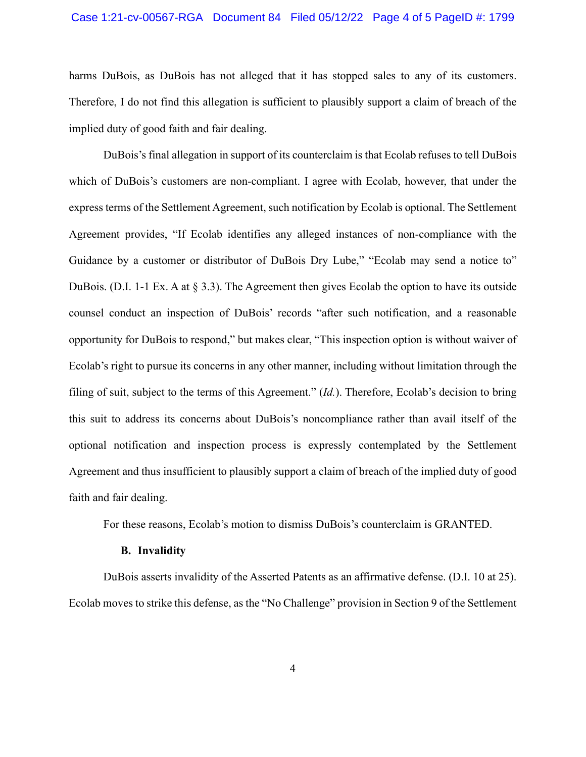### Case 1:21-cv-00567-RGA Document 84 Filed 05/12/22 Page 4 of 5 PageID #: 1799

harms DuBois, as DuBois has not alleged that it has stopped sales to any of its customers. Therefore, I do not find this allegation is sufficient to plausibly support a claim of breach of the implied duty of good faith and fair dealing.

DuBois's final allegation in support of its counterclaim is that Ecolab refuses to tell DuBois which of DuBois's customers are non-compliant. I agree with Ecolab, however, that under the express terms of the Settlement Agreement, such notification by Ecolab is optional. The Settlement Agreement provides, "If Ecolab identifies any alleged instances of non-compliance with the Guidance by a customer or distributor of DuBois Dry Lube," "Ecolab may send a notice to" DuBois. (D.I. 1-1 Ex. A at § 3.3). The Agreement then gives Ecolab the option to have its outside counsel conduct an inspection of DuBois' records "after such notification, and a reasonable opportunity for DuBois to respond," but makes clear, "This inspection option is without waiver of Ecolab's right to pursue its concerns in any other manner, including without limitation through the filing of suit, subject to the terms of this Agreement." (*Id.*). Therefore, Ecolab's decision to bring this suit to address its concerns about DuBois's noncompliance rather than avail itself of the optional notification and inspection process is expressly contemplated by the Settlement Agreement and thus insufficient to plausibly support a claim of breach of the implied duty of good faith and fair dealing.

For these reasons, Ecolab's motion to dismiss DuBois's counterclaim is GRANTED.

#### **B. Invalidity**

DuBois asserts invalidity of the Asserted Patents as an affirmative defense. (D.I. 10 at 25). Ecolab moves to strike this defense, as the "No Challenge" provision in Section 9 of the Settlement